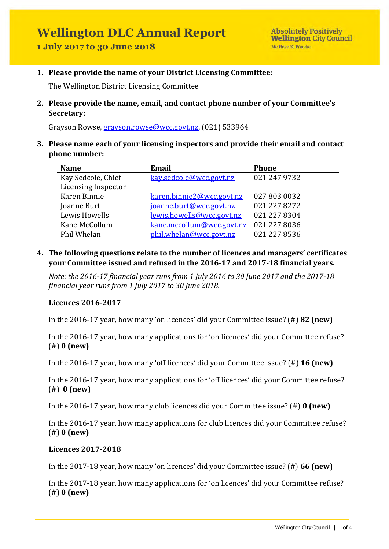**1. Please provide the name of your District Licensing Committee:**

The Wellington District Licensing Committee

**2. Please provide the name, email, and contact phone number of your Committee's Secretary:** 

Grayson Rowse, [grayson.rowse@wcc.govt.nz,](mailto:grayson.rowse@wcc.govt.nz) (021) 533964

**3. Please name each of your licensing inspectors and provide their email and contact phone number:** 

| <b>Name</b>         | <b>Email</b>              | <b>Phone</b> |
|---------------------|---------------------------|--------------|
| Kay Sedcole, Chief  | kay.sedcole@wcc.govt.nz   | 021 247 9732 |
| Licensing Inspector |                           |              |
| Karen Binnie        | karen.binnie2@wcc.govt.nz | 027 803 0032 |
| Joanne Burt         | joanne.burt@wcc.govt.nz   | 021 227 8272 |
| Lewis Howells       | lewis.howells@wcc.govt.nz | 021 227 8304 |
| Kane McCollum       | kane.mccollum@wcc.govt.nz | 021 227 8036 |
| Phil Whelan         | phil.whelan@wcc.govt.nz   | 021 227 8536 |

**4. The following questions relate to the number of licences and managers' certificates your Committee issued and refused in the 2016-17 and 2017-18 financial years.** 

*Note: the 2016-17 financial year runs from 1 July 2016 to 30 June 2017 and the 2017-18 financial year runs from 1 July 2017 to 30 June 2018.* 

#### **Licences 2016-2017**

In the 2016-17 year, how many 'on licences' did your Committee issue? (#) **82 (new)**

In the 2016-17 year, how many applications for 'on licences' did your Committee refuse? (#) **0 (new)**

In the 2016-17 year, how many 'off licences' did your Committee issue? (#) **16 (new)**

In the 2016-17 year, how many applications for 'off licences' did your Committee refuse? (#) **0 (new)** 

In the 2016-17 year, how many club licences did your Committee issue? (#) **0 (new)**

In the 2016-17 year, how many applications for club licences did your Committee refuse? (#) **0 (new)**

#### **Licences 2017-2018**

In the 2017-18 year, how many 'on licences' did your Committee issue? (#) **66 (new)**

In the 2017-18 year, how many applications for 'on licences' did your Committee refuse? (#) **0 (new)**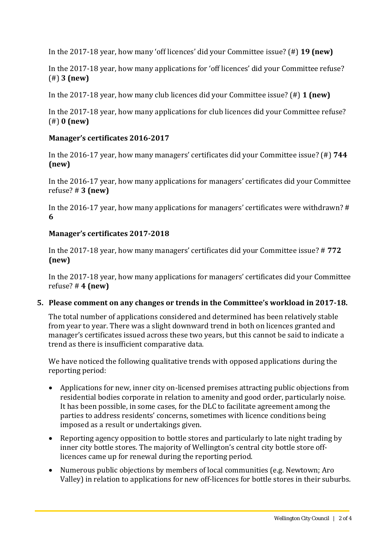In the 2017-18 year, how many 'off licences' did your Committee issue? (#) **19 (new)**

In the 2017-18 year, how many applications for 'off licences' did your Committee refuse? (#) **3 (new)**

In the 2017-18 year, how many club licences did your Committee issue? (#) **1 (new)**

In the 2017-18 year, how many applications for club licences did your Committee refuse? (#) **0 (new)** 

## **Manager's certificates 2016-2017**

In the 2016-17 year, how many managers' certificates did your Committee issue? (#) **744 (new)**

In the 2016-17 year, how many applications for managers' certificates did your Committee refuse? # **3 (new)**

In the 2016-17 year, how many applications for managers' certificates were withdrawn? # **6**

## **Manager's certificates 2017-2018**

In the 2017-18 year, how many managers' certificates did your Committee issue? # **772 (new)**

In the 2017-18 year, how many applications for managers' certificates did your Committee refuse? # **4 (new)** 

## **5. Please comment on any changes or trends in the Committee's workload in 2017-18.**

The total number of applications considered and determined has been relatively stable from year to year. There was a slight downward trend in both on licences granted and manager's certificates issued across these two years, but this cannot be said to indicate a trend as there is insufficient comparative data.

We have noticed the following qualitative trends with opposed applications during the reporting period:

- Applications for new, inner city on-licensed premises attracting public objections from residential bodies corporate in relation to amenity and good order, particularly noise. It has been possible, in some cases, for the DLC to facilitate agreement among the parties to address residents' concerns, sometimes with licence conditions being imposed as a result or undertakings given.
- Reporting agency opposition to bottle stores and particularly to late night trading by inner city bottle stores. The majority of Wellington's central city bottle store offlicences came up for renewal during the reporting period.
- Numerous public objections by members of local communities (e.g. Newtown; Aro Valley) in relation to applications for new off-licences for bottle stores in their suburbs.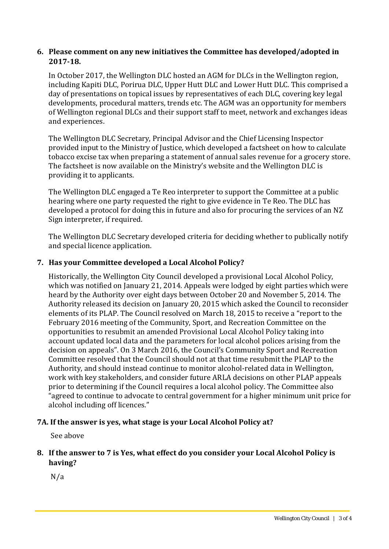## **6. Please comment on any new initiatives the Committee has developed/adopted in 2017-18.**

In October 2017, the Wellington DLC hosted an AGM for DLCs in the Wellington region, including Kapiti DLC, Porirua DLC, Upper Hutt DLC and Lower Hutt DLC. This comprised a day of presentations on topical issues by representatives of each DLC, covering key legal developments, procedural matters, trends etc. The AGM was an opportunity for members of Wellington regional DLCs and their support staff to meet, network and exchanges ideas and experiences.

The Wellington DLC Secretary, Principal Advisor and the Chief Licensing Inspector provided input to the Ministry of Justice, which developed a factsheet on how to calculate tobacco excise tax when preparing a statement of annual sales revenue for a grocery store. The factsheet is now available on the Ministry's website and the Wellington DLC is providing it to applicants.

The Wellington DLC engaged a Te Reo interpreter to support the Committee at a public hearing where one party requested the right to give evidence in Te Reo. The DLC has developed a protocol for doing this in future and also for procuring the services of an NZ Sign interpreter, if required.

The Wellington DLC Secretary developed criteria for deciding whether to publically notify and special licence application.

## **7. Has your Committee developed a Local Alcohol Policy?**

Historically, the Wellington City Council developed a provisional Local Alcohol Policy, which was notified on January 21, 2014. Appeals were lodged by eight parties which were heard by the Authority over eight days between October 20 and November 5, 2014. The Authority released its decision on January 20, 2015 which asked the Council to reconsider elements of its PLAP. The Council resolved on March 18, 2015 to receive a "report to the February 2016 meeting of the Community, Sport, and Recreation Committee on the opportunities to resubmit an amended Provisional Local Alcohol Policy taking into account updated local data and the parameters for local alcohol polices arising from the decision on appeals". On 3 March 2016, the Council's Community Sport and Recreation Committee resolved that the Council should not at that time resubmit the PLAP to the Authority, and should instead continue to monitor alcohol-related data in Wellington, work with key stakeholders, and consider future ARLA decisions on other PLAP appeals prior to determining if the Council requires a local alcohol policy. The Committee also "agreed to continue to advocate to central government for a higher minimum unit price for alcohol including off licences."

# **7A. If the answer is yes, what stage is your Local Alcohol Policy at?**

See above

# **8. If the answer to 7 is Yes, what effect do you consider your Local Alcohol Policy is having?**

N/a